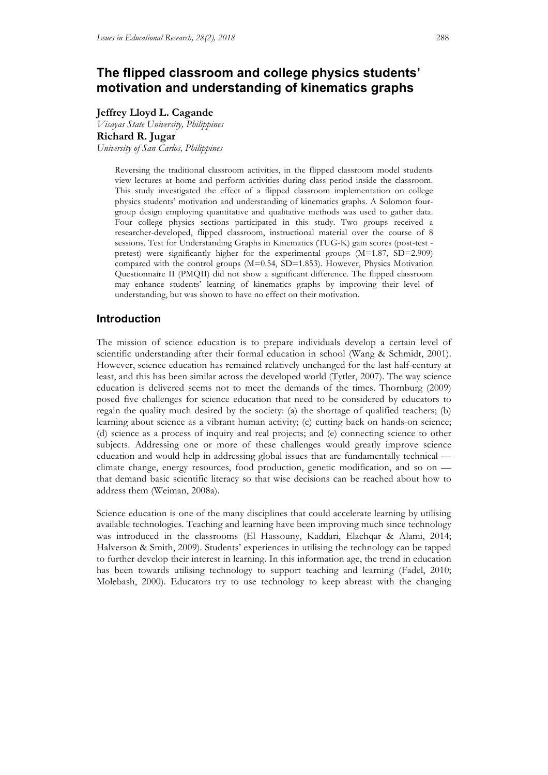# **The flipped classroom and college physics students' motivation and understanding of kinematics graphs**

# **Jeffrey Lloyd L. Cagande**

*Visayas State University, Philippines* **Richard R. Jugar** *University of San Carlos, Philippines*

> Reversing the traditional classroom activities, in the flipped classroom model students view lectures at home and perform activities during class period inside the classroom. This study investigated the effect of a flipped classroom implementation on college physics students' motivation and understanding of kinematics graphs. A Solomon fourgroup design employing quantitative and qualitative methods was used to gather data. Four college physics sections participated in this study. Two groups received a researcher-developed, flipped classroom, instructional material over the course of 8 sessions. Test for Understanding Graphs in Kinematics (TUG-K) gain scores (post-test pretest) were significantly higher for the experimental groups (M=1.87, SD=2.909) compared with the control groups (M=0.54, SD=1.853). However, Physics Motivation Questionnaire II (PMQII) did not show a significant difference. The flipped classroom may enhance students' learning of kinematics graphs by improving their level of understanding, but was shown to have no effect on their motivation.

# **Introduction**

The mission of science education is to prepare individuals develop a certain level of scientific understanding after their formal education in school (Wang & Schmidt, 2001). However, science education has remained relatively unchanged for the last half-century at least, and this has been similar across the developed world (Tytler, 2007). The way science education is delivered seems not to meet the demands of the times. Thornburg (2009) posed five challenges for science education that need to be considered by educators to regain the quality much desired by the society: (a) the shortage of qualified teachers; (b) learning about science as a vibrant human activity; (c) cutting back on hands-on science; (d) science as a process of inquiry and real projects; and (e) connecting science to other subjects. Addressing one or more of these challenges would greatly improve science education and would help in addressing global issues that are fundamentally technical climate change, energy resources, food production, genetic modification, and so on that demand basic scientific literacy so that wise decisions can be reached about how to address them (Weiman, 2008a).

Science education is one of the many disciplines that could accelerate learning by utilising available technologies. Teaching and learning have been improving much since technology was introduced in the classrooms (El Hassouny, Kaddari, Elachqar & Alami, 2014; Halverson & Smith, 2009). Students' experiences in utilising the technology can be tapped to further develop their interest in learning. In this information age, the trend in education has been towards utilising technology to support teaching and learning (Fadel, 2010; Molebash, 2000). Educators try to use technology to keep abreast with the changing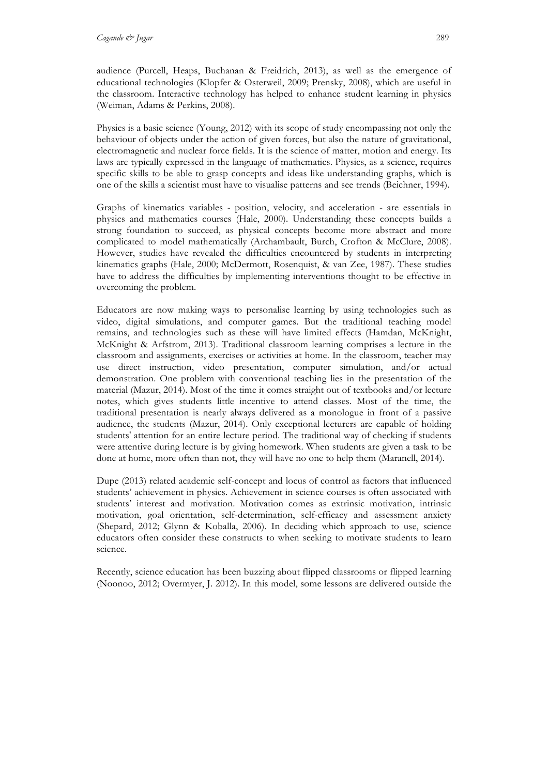audience (Purcell, Heaps, Buchanan & Freidrich, 2013), as well as the emergence of educational technologies (Klopfer & Osterweil, 2009; Prensky, 2008), which are useful in the classroom. Interactive technology has helped to enhance student learning in physics (Weiman, Adams & Perkins, 2008).

Physics is a basic science (Young, 2012) with its scope of study encompassing not only the behaviour of objects under the action of given forces, but also the nature of gravitational, electromagnetic and nuclear force fields. It is the science of matter, motion and energy. Its laws are typically expressed in the language of mathematics. Physics, as a science, requires specific skills to be able to grasp concepts and ideas like understanding graphs, which is one of the skills a scientist must have to visualise patterns and see trends (Beichner, 1994).

Graphs of kinematics variables - position, velocity, and acceleration - are essentials in physics and mathematics courses (Hale, 2000). Understanding these concepts builds a strong foundation to succeed, as physical concepts become more abstract and more complicated to model mathematically (Archambault, Burch, Crofton & McClure, 2008). However, studies have revealed the difficulties encountered by students in interpreting kinematics graphs (Hale, 2000; McDermott, Rosenquist, & van Zee, 1987). These studies have to address the difficulties by implementing interventions thought to be effective in overcoming the problem.

Educators are now making ways to personalise learning by using technologies such as video, digital simulations, and computer games. But the traditional teaching model remains, and technologies such as these will have limited effects (Hamdan, McKnight, McKnight & Arfstrom, 2013). Traditional classroom learning comprises a lecture in the classroom and assignments, exercises or activities at home. In the classroom, teacher may use direct instruction, video presentation, computer simulation, and/or actual demonstration. One problem with conventional teaching lies in the presentation of the material (Mazur, 2014). Most of the time it comes straight out of textbooks and/or lecture notes, which gives students little incentive to attend classes. Most of the time, the traditional presentation is nearly always delivered as a monologue in front of a passive audience, the students (Mazur, 2014). Only exceptional lecturers are capable of holding students' attention for an entire lecture period. The traditional way of checking if students were attentive during lecture is by giving homework. When students are given a task to be done at home, more often than not, they will have no one to help them (Maranell, 2014).

Dupe (2013) related academic self-concept and locus of control as factors that influenced students' achievement in physics. Achievement in science courses is often associated with students' interest and motivation. Motivation comes as extrinsic motivation, intrinsic motivation, goal orientation, self-determination, self-efficacy and assessment anxiety (Shepard, 2012; Glynn & Koballa, 2006). In deciding which approach to use, science educators often consider these constructs to when seeking to motivate students to learn science.

Recently, science education has been buzzing about flipped classrooms or flipped learning (Noonoo, 2012; Overmyer, J. 2012). In this model, some lessons are delivered outside the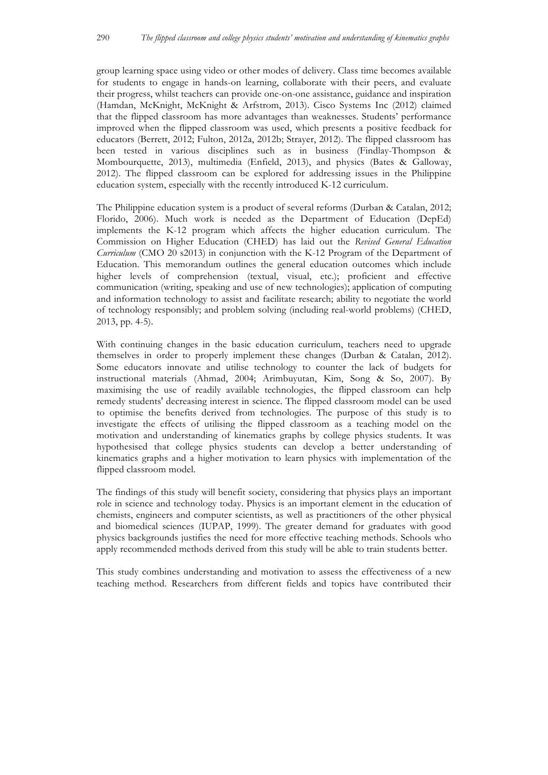group learning space using video or other modes of delivery. Class time becomes available for students to engage in hands-on learning, collaborate with their peers, and evaluate their progress, whilst teachers can provide one-on-one assistance, guidance and inspiration (Hamdan, McKnight, McKnight & Arfstrom, 2013). Cisco Systems Inc (2012) claimed that the flipped classroom has more advantages than weaknesses. Students' performance improved when the flipped classroom was used, which presents a positive feedback for educators (Berrett, 2012; Fulton, 2012a, 2012b; Strayer, 2012). The flipped classroom has been tested in various disciplines such as in business (Findlay-Thompson & Mombourquette, 2013), multimedia (Enfield, 2013), and physics (Bates & Galloway, 2012). The flipped classroom can be explored for addressing issues in the Philippine education system, especially with the recently introduced K-12 curriculum.

The Philippine education system is a product of several reforms (Durban & Catalan, 2012; Florido, 2006). Much work is needed as the Department of Education (DepEd) implements the K-12 program which affects the higher education curriculum. The Commission on Higher Education (CHED) has laid out the *Revised General Education Curriculum* (CMO 20 s2013) in conjunction with the K-12 Program of the Department of Education. This memorandum outlines the general education outcomes which include higher levels of comprehension (textual, visual, etc.); proficient and effective communication (writing, speaking and use of new technologies); application of computing and information technology to assist and facilitate research; ability to negotiate the world of technology responsibly; and problem solving (including real-world problems) (CHED, 2013, pp. 4-5).

With continuing changes in the basic education curriculum, teachers need to upgrade themselves in order to properly implement these changes (Durban & Catalan, 2012). Some educators innovate and utilise technology to counter the lack of budgets for instructional materials (Ahmad, 2004; Arimbuyutan, Kim, Song & So, 2007). By maximising the use of readily available technologies, the flipped classroom can help remedy students' decreasing interest in science. The flipped classroom model can be used to optimise the benefits derived from technologies. The purpose of this study is to investigate the effects of utilising the flipped classroom as a teaching model on the motivation and understanding of kinematics graphs by college physics students. It was hypothesised that college physics students can develop a better understanding of kinematics graphs and a higher motivation to learn physics with implementation of the flipped classroom model.

The findings of this study will benefit society, considering that physics plays an important role in science and technology today. Physics is an important element in the education of chemists, engineers and computer scientists, as well as practitioners of the other physical and biomedical sciences (IUPAP, 1999). The greater demand for graduates with good physics backgrounds justifies the need for more effective teaching methods. Schools who apply recommended methods derived from this study will be able to train students better.

This study combines understanding and motivation to assess the effectiveness of a new teaching method. Researchers from different fields and topics have contributed their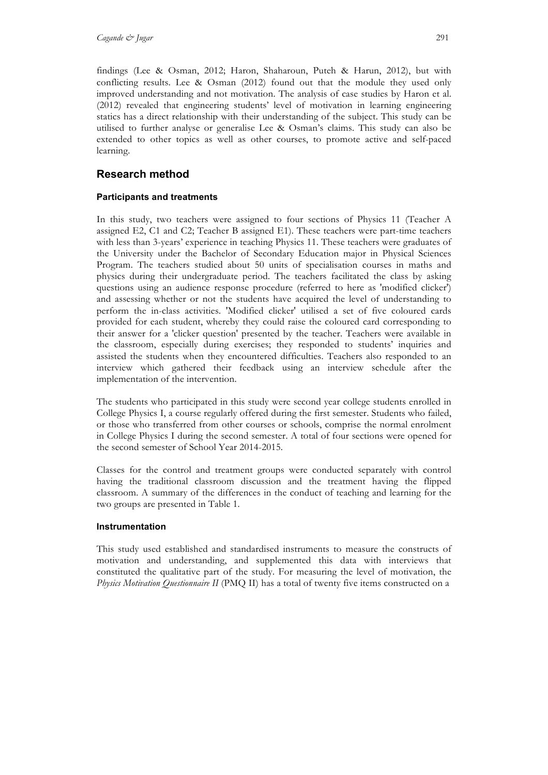findings (Lee & Osman, 2012; Haron, Shaharoun, Puteh & Harun, 2012), but with conflicting results. Lee & Osman (2012) found out that the module they used only improved understanding and not motivation. The analysis of case studies by Haron et al. (2012) revealed that engineering students' level of motivation in learning engineering statics has a direct relationship with their understanding of the subject. This study can be utilised to further analyse or generalise Lee & Osman's claims. This study can also be extended to other topics as well as other courses, to promote active and self-paced learning.

# **Research method**

# **Participants and treatments**

In this study, two teachers were assigned to four sections of Physics 11 (Teacher A assigned E2, C1 and C2; Teacher B assigned E1). These teachers were part-time teachers with less than 3-years' experience in teaching Physics 11. These teachers were graduates of the University under the Bachelor of Secondary Education major in Physical Sciences Program. The teachers studied about 50 units of specialisation courses in maths and physics during their undergraduate period. The teachers facilitated the class by asking questions using an audience response procedure (referred to here as 'modified clicker') and assessing whether or not the students have acquired the level of understanding to perform the in-class activities. 'Modified clicker' utilised a set of five coloured cards provided for each student, whereby they could raise the coloured card corresponding to their answer for a 'clicker question' presented by the teacher. Teachers were available in the classroom, especially during exercises; they responded to students' inquiries and assisted the students when they encountered difficulties. Teachers also responded to an interview which gathered their feedback using an interview schedule after the implementation of the intervention.

The students who participated in this study were second year college students enrolled in College Physics I, a course regularly offered during the first semester. Students who failed, or those who transferred from other courses or schools, comprise the normal enrolment in College Physics I during the second semester. A total of four sections were opened for the second semester of School Year 2014-2015.

Classes for the control and treatment groups were conducted separately with control having the traditional classroom discussion and the treatment having the flipped classroom. A summary of the differences in the conduct of teaching and learning for the two groups are presented in Table 1.

# **Instrumentation**

This study used established and standardised instruments to measure the constructs of motivation and understanding, and supplemented this data with interviews that constituted the qualitative part of the study. For measuring the level of motivation, the *Physics Motivation Questionnaire II* (PMQ II) has a total of twenty five items constructed on a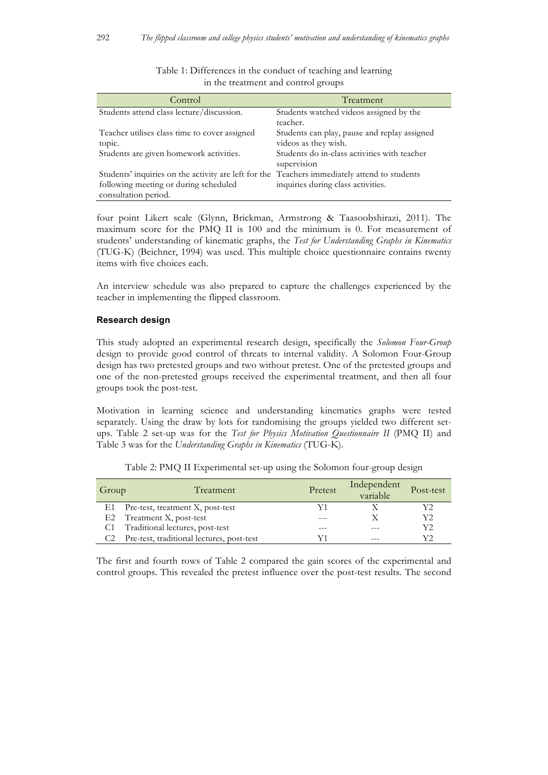| Control                                                                                      | Treatment                                    |
|----------------------------------------------------------------------------------------------|----------------------------------------------|
| Students attend class lecture/discussion.                                                    | Students watched videos assigned by the      |
|                                                                                              | teacher.                                     |
| Teacher utilises class time to cover assigned                                                | Students can play, pause and replay assigned |
| topic.                                                                                       | videos as they wish.                         |
| Students are given homework activities.                                                      | Students do in-class activities with teacher |
|                                                                                              | supervision                                  |
| Students' inquiries on the activity are left for the Teachers immediately attend to students |                                              |
| following meeting or during scheduled                                                        | inquiries during class activities.           |
| consultation period.                                                                         |                                              |

|                                     |  | Table 1: Differences in the conduct of teaching and learning |  |
|-------------------------------------|--|--------------------------------------------------------------|--|
| in the treatment and control groups |  |                                                              |  |

four point Likert scale (Glynn, Brickman, Armstrong & Taasoobshirazi, 2011). The maximum score for the PMQ II is 100 and the minimum is 0. For measurement of students' understanding of kinematic graphs, the *Test for Understanding Graphs in Kinematics* (TUG-K) (Beichner, 1994) was used. This multiple choice questionnaire contains twenty items with five choices each.

An interview schedule was also prepared to capture the challenges experienced by the teacher in implementing the flipped classroom.

#### **Research design**

This study adopted an experimental research design, specifically the *Solomon Four-Group* design to provide good control of threats to internal validity. A Solomon Four-Group design has two pretested groups and two without pretest. One of the pretested groups and one of the non-pretested groups received the experimental treatment, and then all four groups took the post-test.

Motivation in learning science and understanding kinematics graphs were tested separately. Using the draw by lots for randomising the groups yielded two different setups. Table 2 set-up was for the *Test for Physics Motivation Questionnaire II* (PMQ II) and Table 3 was for the *Understanding Graphs in Kinematics* (TUG-K).

| Group | Treatment                                 | Pretest | Independent<br>variable | Post-test |
|-------|-------------------------------------------|---------|-------------------------|-----------|
|       | E1 Pre-test, treatment X, post-test       |         |                         | Y2        |
|       | E2 Treatment X, post-test                 |         |                         | Y2        |
|       | C1 Traditional lectures, post-test        |         |                         | Y2        |
|       | Pre-test, traditional lectures, post-test |         | $- - -$                 | V٦        |

Table 2: PMQ II Experimental set-up using the Solomon four-group design

The first and fourth rows of Table 2 compared the gain scores of the experimental and control groups. This revealed the pretest influence over the post-test results. The second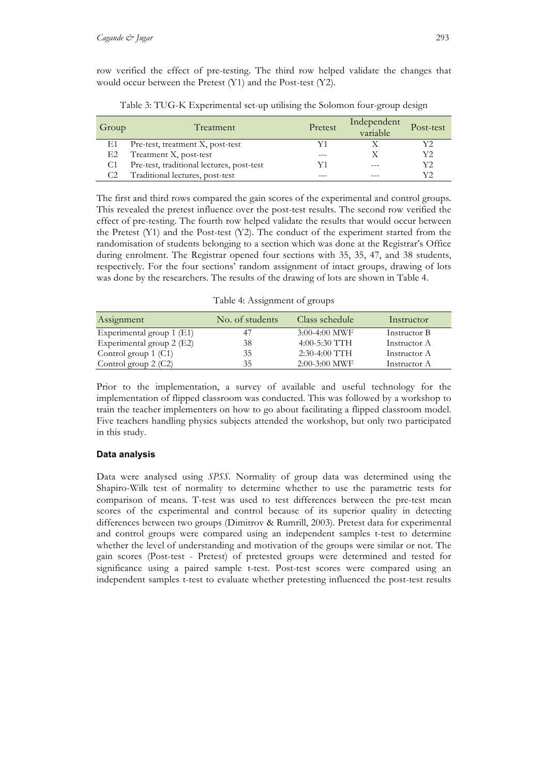row verified the effect of pre-testing. The third row helped validate the changes that would occur between the Pretest (Y1) and the Post-test (Y2).

| Group | Treatment                                 | Pretest | Independent<br>variable | Post-test |
|-------|-------------------------------------------|---------|-------------------------|-----------|
| E1    | Pre-test, treatment X, post-test          |         |                         | Y2        |
| E2    | Treatment X, post-test                    |         |                         | Y2        |
|       | Pre-test, traditional lectures, post-test | Y1      | $- - -$                 | Y2        |
|       | Traditional lectures, post-test           |         |                         | Y2        |

Table 3: TUG-K Experimental set-up utilising the Solomon four-group design

The first and third rows compared the gain scores of the experimental and control groups. This revealed the pretest influence over the post-test results. The second row verified the effect of pre-testing. The fourth row helped validate the results that would occur between the Pretest (Y1) and the Post-test (Y2). The conduct of the experiment started from the randomisation of students belonging to a section which was done at the Registrar's Office during enrolment. The Registrar opened four sections with 35, 35, 47, and 38 students, respectively. For the four sections' random assignment of intact groups, drawing of lots was done by the researchers. The results of the drawing of lots are shown in Table 4.

Table 4: Assignment of groups

| Assignment                | No. of students | Class schedule  | Instructor   |
|---------------------------|-----------------|-----------------|--------------|
| Experimental group 1 (E1) |                 | $3:00-4:00$ MWF | Instructor B |
| Experimental group 2 (E2) | 38              | $4:00-5:30$ TTH | Instructor A |
| Control group $1$ (C1)    | 35              | $2:30-4:00$ TTH | Instructor A |
| Control group $2$ (C2)    | 35              | $2:00-3:00$ MWF | Instructor A |

Prior to the implementation, a survey of available and useful technology for the implementation of flipped classroom was conducted. This was followed by a workshop to train the teacher implementers on how to go about facilitating a flipped classroom model. Five teachers handling physics subjects attended the workshop, but only two participated in this study.

# **Data analysis**

Data were analysed using *SPSS*. Normality of group data was determined using the Shapiro-Wilk test of normality to determine whether to use the parametric tests for comparison of means. T-test was used to test differences between the pre-test mean scores of the experimental and control because of its superior quality in detecting differences between two groups (Dimitrov & Rumrill, 2003). Pretest data for experimental and control groups were compared using an independent samples t-test to determine whether the level of understanding and motivation of the groups were similar or not. The gain scores (Post-test - Pretest) of pretested groups were determined and tested for significance using a paired sample t-test. Post-test scores were compared using an independent samples t-test to evaluate whether pretesting influenced the post-test results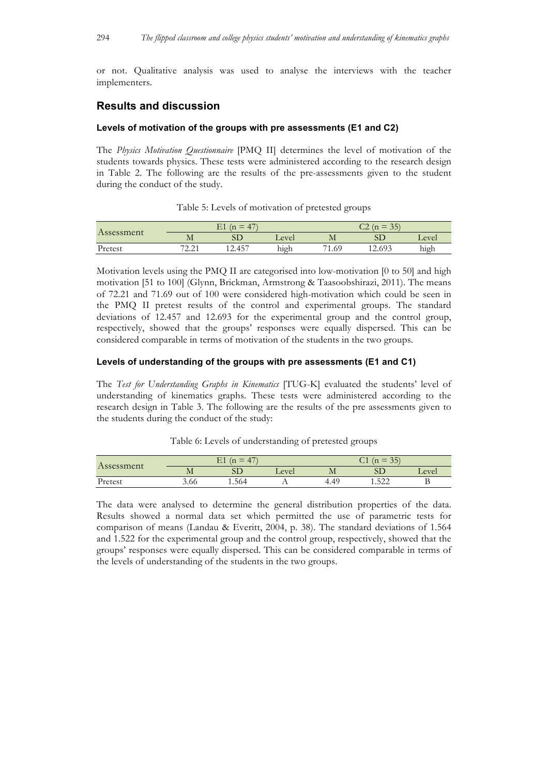or not. Qualitative analysis was used to analyse the interviews with the teacher implementers.

# **Results and discussion**

## **Levels of motivation of the groups with pre assessments (E1 and C2)**

The *Physics Motivation Questionnaire* [PMQ II] determines the level of motivation of the students towards physics. These tests were administered according to the research design in Table 2. The following are the results of the pre-assessments given to the student during the conduct of the study.

|            |                                          | $\nabla$ 1<br>$\overline{1}$<br>$\mathbf n$<br>_<br>⊥ ⊥ |       |       | $\sim$ $\sim$ $\sim$<br>$-25$<br>$\overline{\phantom{a}}$<br>-11<br>$\overline{\phantom{a}}$ |           |
|------------|------------------------------------------|---------------------------------------------------------|-------|-------|----------------------------------------------------------------------------------------------|-----------|
| Assessment | TVT.                                     | SD                                                      | Level | IVI.  |                                                                                              | Level     |
| Pretest    | 72.21<br>$\overline{a}$ . $\overline{a}$ | $-457$<br>14.TJ                                         | high  | 71.69 | ) 603<br>14.07J                                                                              | .<br>high |

Table 5: Levels of motivation of pretested groups

Motivation levels using the PMQ II are categorised into low-motivation [0 to 50] and high motivation [51 to 100] (Glynn, Brickman, Armstrong & Taasoobshirazi, 2011). The means of 72.21 and 71.69 out of 100 were considered high-motivation which could be seen in the PMQ II pretest results of the control and experimental groups. The standard deviations of 12.457 and 12.693 for the experimental group and the control group, respectively, showed that the groups' responses were equally dispersed. This can be considered comparable in terms of motivation of the students in the two groups.

## **Levels of understanding of the groups with pre assessments (E1 and C1)**

The *Test for Understanding Graphs in Kinematics* [TUG-K] evaluated the students' level of understanding of kinematics graphs. These tests were administered according to the research design in Table 3. The following are the results of the pre assessments given to the students during the conduct of the study:

#### Table 6: Levels of understanding of pretested groups

|            |      | E1<br>47<br>$\mathbf n$ |                |      | $-25^{\circ}$<br>$\sqrt{2}$<br><br>$\sim$ 1 |       |
|------------|------|-------------------------|----------------|------|---------------------------------------------|-------|
| Assessment | IVI. | OЦ                      | Level          | M    | OГ                                          | Level |
| Pretest    | 3.66 | 1.564                   | $\overline{1}$ | t.49 | 522<br>1.J <i>LL</i>                        | D     |

The data were analysed to determine the general distribution properties of the data. Results showed a normal data set which permitted the use of parametric tests for comparison of means (Landau & Everitt, 2004, p. 38). The standard deviations of 1.564 and 1.522 for the experimental group and the control group, respectively, showed that the groups' responses were equally dispersed. This can be considered comparable in terms of the levels of understanding of the students in the two groups.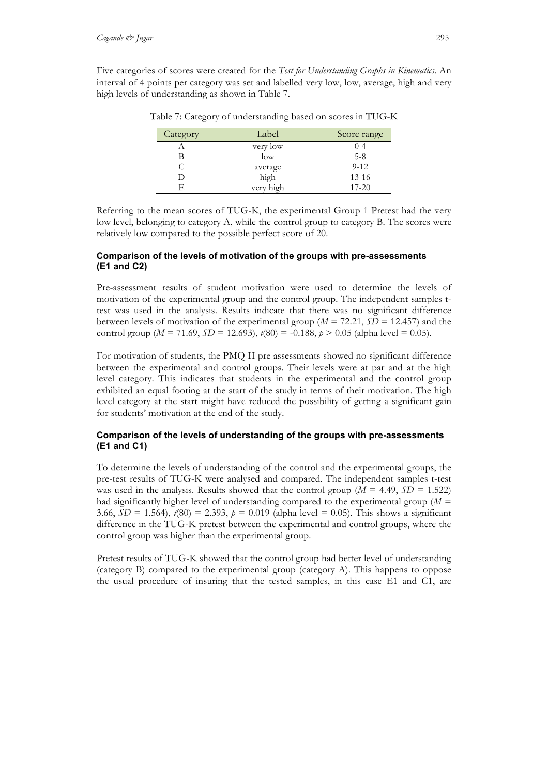Five categories of scores were created for the *Test for Understanding Graphs in Kinematics*. An interval of 4 points per category was set and labelled very low, low, average, high and very high levels of understanding as shown in Table 7.

| Category | Label     | Score range |
|----------|-----------|-------------|
|          | very low  | $0 - 4$     |
| В        | low       | $5 - 8$     |
| С        | average   | $9 - 12$    |
| D        | high      | $13 - 16$   |
| F        | very high | $17 - 20$   |

Table 7: Category of understanding based on scores in TUG-K

Referring to the mean scores of TUG-K, the experimental Group 1 Pretest had the very low level, belonging to category A, while the control group to category B. The scores were relatively low compared to the possible perfect score of 20.

# **Comparison of the levels of motivation of the groups with pre-assessments (E1 and C2)**

Pre-assessment results of student motivation were used to determine the levels of motivation of the experimental group and the control group. The independent samples ttest was used in the analysis. Results indicate that there was no significant difference between levels of motivation of the experimental group (*M* = 72.21, *SD* = 12.457) and the control group ( $M = 71.69$ ,  $SD = 12.693$ ),  $t(80) = -0.188$ ,  $p > 0.05$  (alpha level = 0.05).

For motivation of students, the PMQ II pre assessments showed no significant difference between the experimental and control groups. Their levels were at par and at the high level category. This indicates that students in the experimental and the control group exhibited an equal footing at the start of the study in terms of their motivation. The high level category at the start might have reduced the possibility of getting a significant gain for students' motivation at the end of the study.

# **Comparison of the levels of understanding of the groups with pre-assessments (E1 and C1)**

To determine the levels of understanding of the control and the experimental groups, the pre-test results of TUG-K were analysed and compared. The independent samples t-test was used in the analysis. Results showed that the control group ( $M = 4.49$ ,  $SD = 1.522$ ) had significantly higher level of understanding compared to the experimental group (*M* = 3.66,  $SD = 1.564$ ,  $t(80) = 2.393$ ,  $p = 0.019$  (alpha level = 0.05). This shows a significant difference in the TUG-K pretest between the experimental and control groups, where the control group was higher than the experimental group.

Pretest results of TUG-K showed that the control group had better level of understanding (category B) compared to the experimental group (category A). This happens to oppose the usual procedure of insuring that the tested samples, in this case E1 and C1, are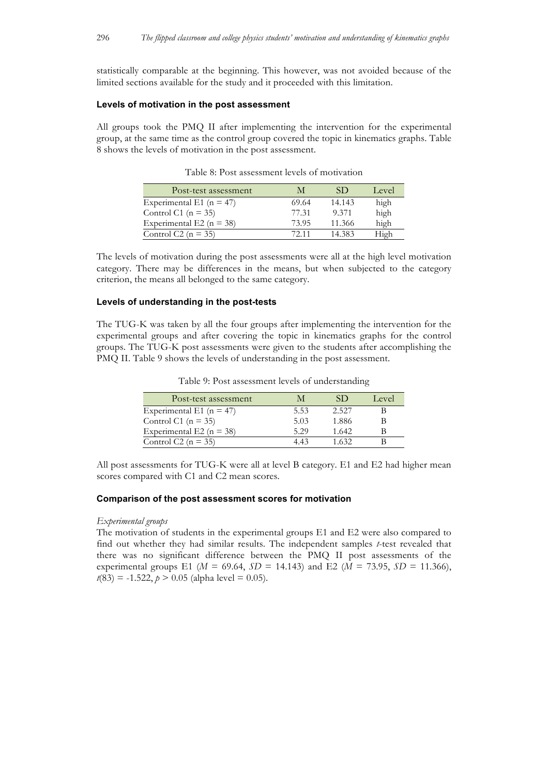statistically comparable at the beginning. This however, was not avoided because of the limited sections available for the study and it proceeded with this limitation.

#### **Levels of motivation in the post assessment**

All groups took the PMQ II after implementing the intervention for the experimental group, at the same time as the control group covered the topic in kinematics graphs. Table 8 shows the levels of motivation in the post assessment.

| Post-test assessment         | M     | SÐ     | Level |
|------------------------------|-------|--------|-------|
| Experimental E1 ( $n = 47$ ) | 69.64 | 14.143 | high  |
| Control C1 ( $n = 35$ )      | 77.31 | 9.371  | high  |
| Experimental E2 ( $n = 38$ ) | 73.95 | 11.366 | high  |
| Control C2 ( $n = 35$ )      | 72.11 | 14.383 | High  |

Table 8: Post assessment levels of motivation

The levels of motivation during the post assessments were all at the high level motivation category. There may be differences in the means, but when subjected to the category criterion, the means all belonged to the same category.

#### **Levels of understanding in the post-tests**

The TUG-K was taken by all the four groups after implementing the intervention for the experimental groups and after covering the topic in kinematics graphs for the control groups. The TUG-K post assessments were given to the students after accomplishing the PMQ II. Table 9 shows the levels of understanding in the post assessment.

| Post-test assessment         |      | SD    | Level |
|------------------------------|------|-------|-------|
| Experimental E1 ( $n = 47$ ) | 5.53 | 2.527 |       |
| Control C1 ( $n = 35$ )      | 5.03 | 1.886 |       |
| Experimental E2 ( $n = 38$ ) | 5.29 | 1.642 |       |
| Control C2 ( $n = 35$ )      | 443  | 1.632 |       |

Table 9: Post assessment levels of understanding

All post assessments for TUG-K were all at level B category. E1 and E2 had higher mean scores compared with C1 and C2 mean scores.

#### **Comparison of the post assessment scores for motivation**

#### *Experimental groups*

The motivation of students in the experimental groups E1 and E2 were also compared to find out whether they had similar results. The independent samples *t*-test revealed that there was no significant difference between the PMQ II post assessments of the experimental groups E1 (*M* = 69.64, *SD* = 14.143) and E2 (*M* = 73.95, *SD* = 11.366),  $t(83) = -1.522$ ,  $p > 0.05$  (alpha level = 0.05).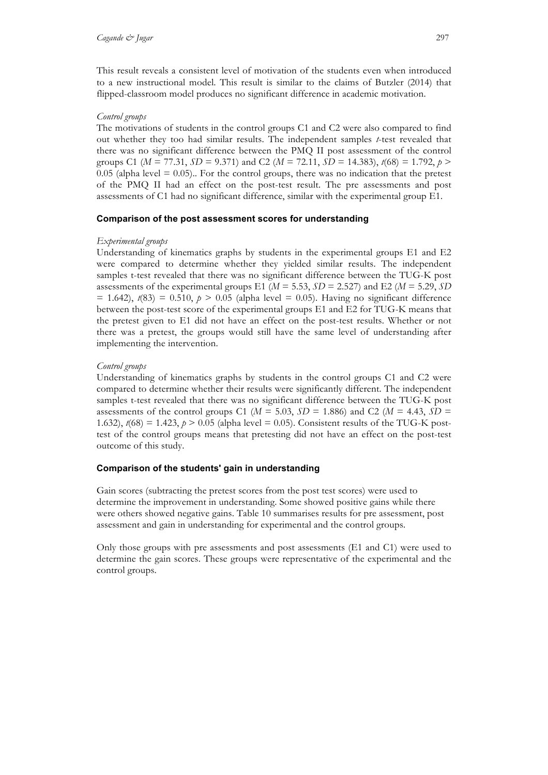This result reveals a consistent level of motivation of the students even when introduced to a new instructional model. This result is similar to the claims of Butzler (2014) that flipped-classroom model produces no significant difference in academic motivation.

## *Control groups*

The motivations of students in the control groups C1 and C2 were also compared to find out whether they too had similar results. The independent samples *t*-test revealed that there was no significant difference between the PMQ II post assessment of the control groups C1 ( $M = 77.31$ ,  $SD = 9.371$ ) and C2 ( $M = 72.11$ ,  $SD = 14.383$ ),  $t(68) = 1.792$ ,  $p >$  $0.05$  (alpha level =  $0.05$ ). For the control groups, there was no indication that the pretest of the PMQ II had an effect on the post-test result. The pre assessments and post assessments of C1 had no significant difference, similar with the experimental group E1.

#### **Comparison of the post assessment scores for understanding**

#### *Experimental groups*

Understanding of kinematics graphs by students in the experimental groups E1 and E2 were compared to determine whether they yielded similar results. The independent samples t-test revealed that there was no significant difference between the TUG-K post assessments of the experimental groups E1 ( $M = 5.53$ ,  $SD = 2.527$ ) and E2 ( $M = 5.29$ ,  $SD$  $= 1.642$ ,  $t(83) = 0.510$ ,  $p > 0.05$  (alpha level  $= 0.05$ ). Having no significant difference between the post-test score of the experimental groups E1 and E2 for TUG-K means that the pretest given to E1 did not have an effect on the post-test results. Whether or not there was a pretest, the groups would still have the same level of understanding after implementing the intervention.

#### *Control groups*

Understanding of kinematics graphs by students in the control groups C1 and C2 were compared to determine whether their results were significantly different. The independent samples t-test revealed that there was no significant difference between the TUG-K post assessments of the control groups C1 ( $M = 5.03$ ,  $SD = 1.886$ ) and C2 ( $M = 4.43$ ,  $SD =$ 1.632),  $t(68) = 1.423$ ,  $p > 0.05$  (alpha level = 0.05). Consistent results of the TUG-K posttest of the control groups means that pretesting did not have an effect on the post-test outcome of this study.

# **Comparison of the students' gain in understanding**

Gain scores (subtracting the pretest scores from the post test scores) were used to determine the improvement in understanding. Some showed positive gains while there were others showed negative gains. Table 10 summarises results for pre assessment, post assessment and gain in understanding for experimental and the control groups.

Only those groups with pre assessments and post assessments (E1 and C1) were used to determine the gain scores. These groups were representative of the experimental and the control groups.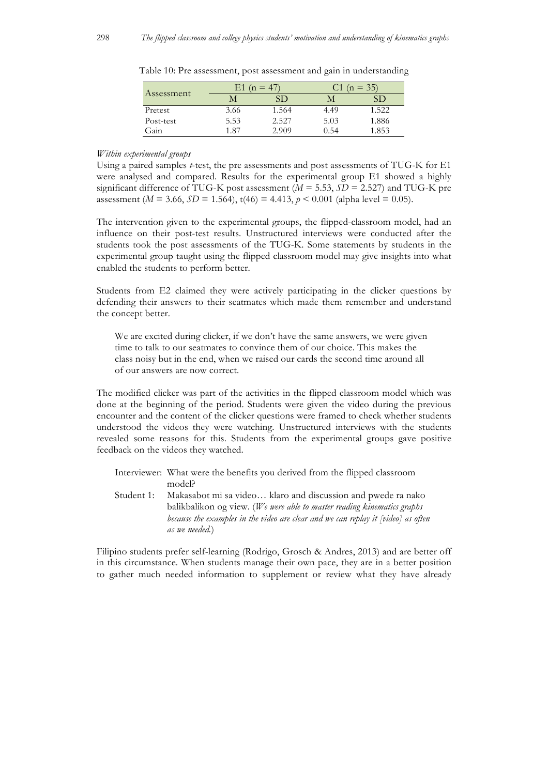|            | $E1(n = 47)$ |       |      | $(n = 35)$ |
|------------|--------------|-------|------|------------|
| Assessment |              | SD    |      | SD         |
| Pretest    | 3.66         | 1.564 | 4.49 | 1.522      |
| Post-test  | 5.53         | 2.527 | 5.03 | 1.886      |
| Gain       | 1.87         | 2.909 | 0.54 | 1.853      |

Table 10: Pre assessment, post assessment and gain in understanding

#### *Within experimental groups*

Using a paired samples *t*-test, the pre assessments and post assessments of TUG-K for E1 were analysed and compared. Results for the experimental group E1 showed a highly significant difference of TUG-K post assessment  $(M = 5.53, SD = 2.527)$  and TUG-K pre assessment ( $M = 3.66$ ,  $SD = 1.564$ ),  $t(46) = 4.413$ ,  $p < 0.001$  (alpha level = 0.05).

The intervention given to the experimental groups, the flipped-classroom model, had an influence on their post-test results. Unstructured interviews were conducted after the students took the post assessments of the TUG-K. Some statements by students in the experimental group taught using the flipped classroom model may give insights into what enabled the students to perform better.

Students from E2 claimed they were actively participating in the clicker questions by defending their answers to their seatmates which made them remember and understand the concept better.

We are excited during clicker, if we don't have the same answers, we were given time to talk to our seatmates to convince them of our choice. This makes the class noisy but in the end, when we raised our cards the second time around all of our answers are now correct.

The modified clicker was part of the activities in the flipped classroom model which was done at the beginning of the period. Students were given the video during the previous encounter and the content of the clicker questions were framed to check whether students understood the videos they were watching. Unstructured interviews with the students revealed some reasons for this. Students from the experimental groups gave positive feedback on the videos they watched.

|            | Interviewer: What were the benefits you derived from the flipped classroom          |
|------------|-------------------------------------------------------------------------------------|
|            | model?                                                                              |
| Student 1: | Makasabot mi sa video klaro and discussion and pwede ra nako                        |
|            | balikbalikon og view. (We were able to master reading kinematics graphs             |
|            | because the examples in the video are clear and we can replay it $[video]$ as often |

*as we needed.*)

Filipino students prefer self-learning (Rodrigo, Grosch & Andres, 2013) and are better off in this circumstance. When students manage their own pace, they are in a better position to gather much needed information to supplement or review what they have already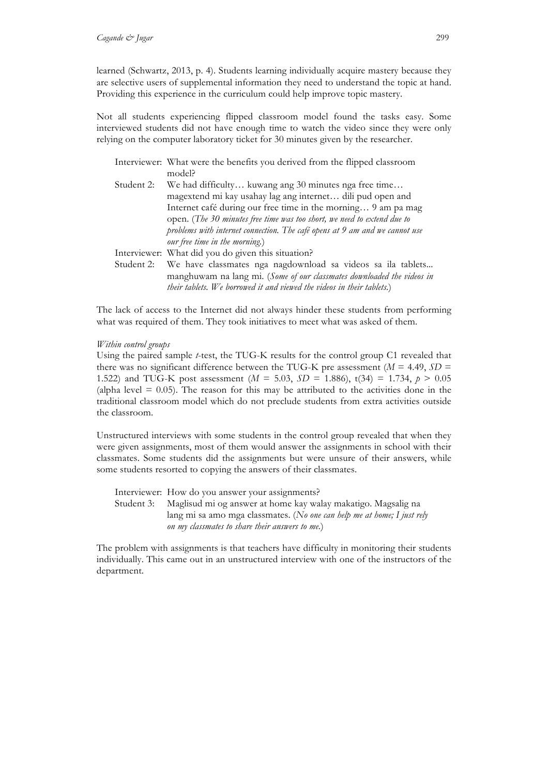learned (Schwartz, 2013, p. 4). Students learning individually acquire mastery because they are selective users of supplemental information they need to understand the topic at hand. Providing this experience in the curriculum could help improve topic mastery.

Not all students experiencing flipped classroom model found the tasks easy. Some interviewed students did not have enough time to watch the video since they were only relying on the computer laboratory ticket for 30 minutes given by the researcher.

|            | Interviewer: What were the benefits you derived from the flipped classroom  |
|------------|-----------------------------------------------------------------------------|
|            | model?                                                                      |
| Student 2: | We had difficulty kuwang ang 30 minutes nga free time                       |
|            | magextend mi kay usahay lag ang internet dili pud open and                  |
|            | Internet café during our free time in the morning 9 am pa mag               |
|            | open. (The 30 minutes free time was too short, we need to extend due to     |
|            | problems with internet connection. The café opens at 9 am and we cannot use |
|            | our free time in the morning.)                                              |
|            | Interviewer: What did you do given this situation?                          |
| Student 2: | We have classmates nga nagdownload sa videos sa ila tablets                 |
|            | manghuwam na lang mi. (Some of our classmates downloaded the videos in      |
|            | their tablets. We borrowed it and viewed the videos in their tablets.)      |

The lack of access to the Internet did not always hinder these students from performing what was required of them. They took initiatives to meet what was asked of them.

#### *Within control groups*

Using the paired sample *t*-test, the TUG-K results for the control group C1 revealed that there was no significant difference between the TUG-K pre assessment ( $M = 4.49$ ,  $SD =$ 1.522) and TUG-K post assessment (*M* = 5.03, *SD* = 1.886), t(34) = 1.734, *p* > 0.05 (alpha level  $= 0.05$ ). The reason for this may be attributed to the activities done in the traditional classroom model which do not preclude students from extra activities outside the classroom.

Unstructured interviews with some students in the control group revealed that when they were given assignments, most of them would answer the assignments in school with their classmates. Some students did the assignments but were unsure of their answers, while some students resorted to copying the answers of their classmates.

Interviewer: How do you answer your assignments? Student 3: Maglisud mi og answer at home kay walay makatigo. Magsalig na lang mi sa amo mga classmates. (*No one can help me at home; I just rely on my classmates to share their answers to me.*)

The problem with assignments is that teachers have difficulty in monitoring their students individually. This came out in an unstructured interview with one of the instructors of the department.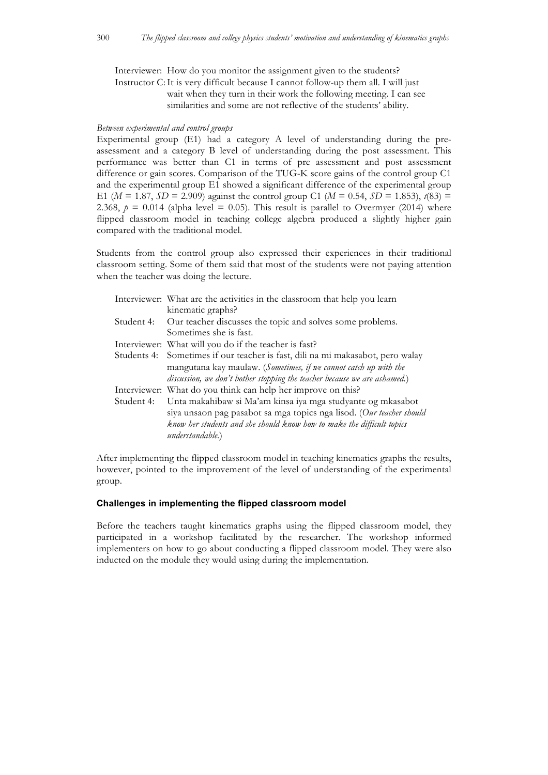Interviewer: How do you monitor the assignment given to the students? Instructor C:It is very difficult because I cannot follow-up them all. I will just wait when they turn in their work the following meeting. I can see

similarities and some are not reflective of the students' ability.

## *Between experimental and control groups*

Experimental group (E1) had a category A level of understanding during the preassessment and a category B level of understanding during the post assessment. This performance was better than C1 in terms of pre assessment and post assessment difference or gain scores. Comparison of the TUG-K score gains of the control group C1 and the experimental group E1 showed a significant difference of the experimental group E1 ( $M = 1.87$ ,  $SD = 2.909$ ) against the control group C1 ( $M = 0.54$ ,  $SD = 1.853$ ),  $t(83) =$ 2.368,  $p = 0.014$  (alpha level = 0.05). This result is parallel to Overmyer (2014) where flipped classroom model in teaching college algebra produced a slightly higher gain compared with the traditional model.

Students from the control group also expressed their experiences in their traditional classroom setting. Some of them said that most of the students were not paying attention when the teacher was doing the lecture.

| Interviewer: What are the activities in the classroom that help you learn                                                                                                                                                         |
|-----------------------------------------------------------------------------------------------------------------------------------------------------------------------------------------------------------------------------------|
| kinematic graphs?                                                                                                                                                                                                                 |
| Our teacher discusses the topic and solves some problems.                                                                                                                                                                         |
| Sometimes she is fast.                                                                                                                                                                                                            |
| Interviewer: What will you do if the teacher is fast?                                                                                                                                                                             |
| Sometimes if our teacher is fast, dili na mi makasabot, pero walay                                                                                                                                                                |
| mangutana kay maulaw. (Sometimes, if we cannot catch up with the                                                                                                                                                                  |
| discussion, we don't bother stopping the teacher because we are ashamed.)                                                                                                                                                         |
| Interviewer: What do you think can help her improve on this?                                                                                                                                                                      |
| Unta makahibaw si Ma'am kinsa iya mga studyante og mkasabot<br>siya unsaon pag pasabot sa mga topics nga lisod. (Our teacher should<br>know her students and she should know how to make the difficult topics<br>understandable.) |
|                                                                                                                                                                                                                                   |

After implementing the flipped classroom model in teaching kinematics graphs the results, however, pointed to the improvement of the level of understanding of the experimental group.

# **Challenges in implementing the flipped classroom model**

Before the teachers taught kinematics graphs using the flipped classroom model, they participated in a workshop facilitated by the researcher. The workshop informed implementers on how to go about conducting a flipped classroom model. They were also inducted on the module they would using during the implementation.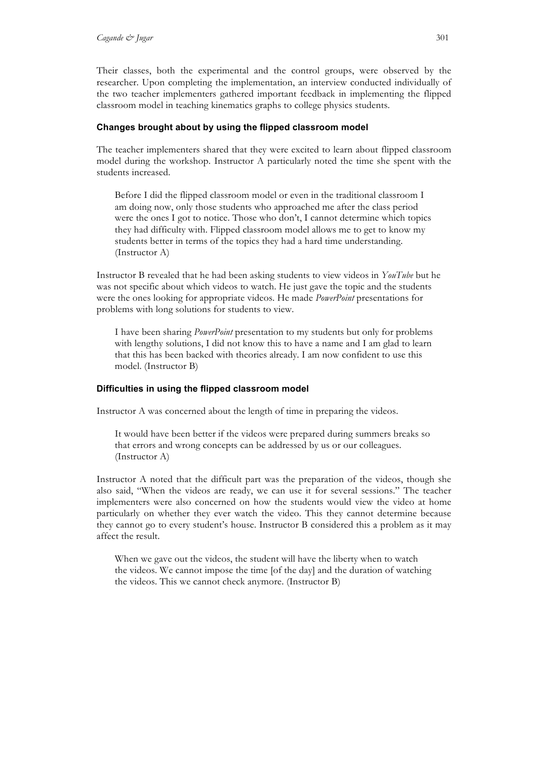Their classes, both the experimental and the control groups, were observed by the researcher. Upon completing the implementation, an interview conducted individually of the two teacher implementers gathered important feedback in implementing the flipped classroom model in teaching kinematics graphs to college physics students.

# **Changes brought about by using the flipped classroom model**

The teacher implementers shared that they were excited to learn about flipped classroom model during the workshop. Instructor A particularly noted the time she spent with the students increased.

Before I did the flipped classroom model or even in the traditional classroom I am doing now, only those students who approached me after the class period were the ones I got to notice. Those who don't, I cannot determine which topics they had difficulty with. Flipped classroom model allows me to get to know my students better in terms of the topics they had a hard time understanding. (Instructor A)

Instructor B revealed that he had been asking students to view videos in *YouTube* but he was not specific about which videos to watch. He just gave the topic and the students were the ones looking for appropriate videos. He made *PowerPoint* presentations for problems with long solutions for students to view.

I have been sharing *PowerPoint* presentation to my students but only for problems with lengthy solutions, I did not know this to have a name and I am glad to learn that this has been backed with theories already. I am now confident to use this model. (Instructor B)

## **Difficulties in using the flipped classroom model**

Instructor A was concerned about the length of time in preparing the videos.

It would have been better if the videos were prepared during summers breaks so that errors and wrong concepts can be addressed by us or our colleagues. (Instructor A)

Instructor A noted that the difficult part was the preparation of the videos, though she also said, "When the videos are ready, we can use it for several sessions." The teacher implementers were also concerned on how the students would view the video at home particularly on whether they ever watch the video. This they cannot determine because they cannot go to every student's house. Instructor B considered this a problem as it may affect the result.

When we gave out the videos, the student will have the liberty when to watch the videos. We cannot impose the time [of the day] and the duration of watching the videos. This we cannot check anymore. (Instructor B)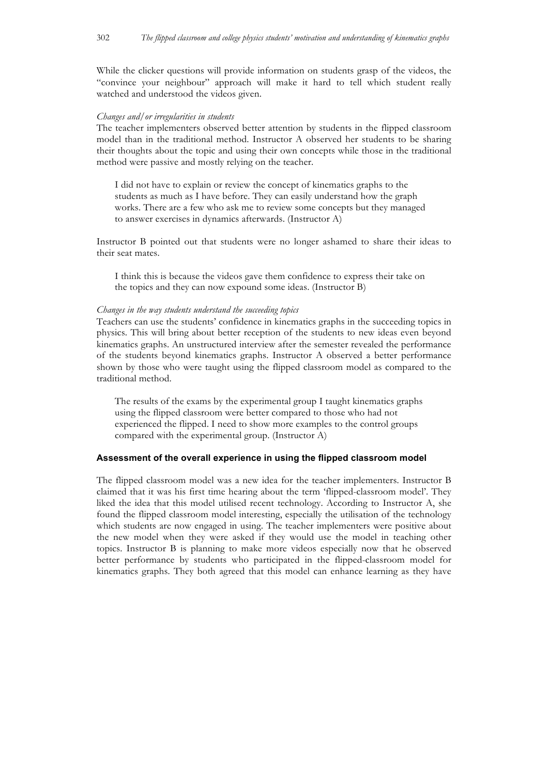While the clicker questions will provide information on students grasp of the videos, the "convince your neighbour" approach will make it hard to tell which student really watched and understood the videos given.

#### *Changes and/or irregularities in students*

The teacher implementers observed better attention by students in the flipped classroom model than in the traditional method. Instructor A observed her students to be sharing their thoughts about the topic and using their own concepts while those in the traditional method were passive and mostly relying on the teacher.

I did not have to explain or review the concept of kinematics graphs to the students as much as I have before. They can easily understand how the graph works. There are a few who ask me to review some concepts but they managed to answer exercises in dynamics afterwards. (Instructor A)

Instructor B pointed out that students were no longer ashamed to share their ideas to their seat mates.

I think this is because the videos gave them confidence to express their take on the topics and they can now expound some ideas. (Instructor B)

## *Changes in the way students understand the succeeding topics*

Teachers can use the students' confidence in kinematics graphs in the succeeding topics in physics. This will bring about better reception of the students to new ideas even beyond kinematics graphs. An unstructured interview after the semester revealed the performance of the students beyond kinematics graphs. Instructor A observed a better performance shown by those who were taught using the flipped classroom model as compared to the traditional method.

The results of the exams by the experimental group I taught kinematics graphs using the flipped classroom were better compared to those who had not experienced the flipped. I need to show more examples to the control groups compared with the experimental group. (Instructor A)

## **Assessment of the overall experience in using the flipped classroom model**

The flipped classroom model was a new idea for the teacher implementers. Instructor B claimed that it was his first time hearing about the term 'flipped-classroom model'. They liked the idea that this model utilised recent technology. According to Instructor A, she found the flipped classroom model interesting, especially the utilisation of the technology which students are now engaged in using. The teacher implementers were positive about the new model when they were asked if they would use the model in teaching other topics. Instructor B is planning to make more videos especially now that he observed better performance by students who participated in the flipped-classroom model for kinematics graphs. They both agreed that this model can enhance learning as they have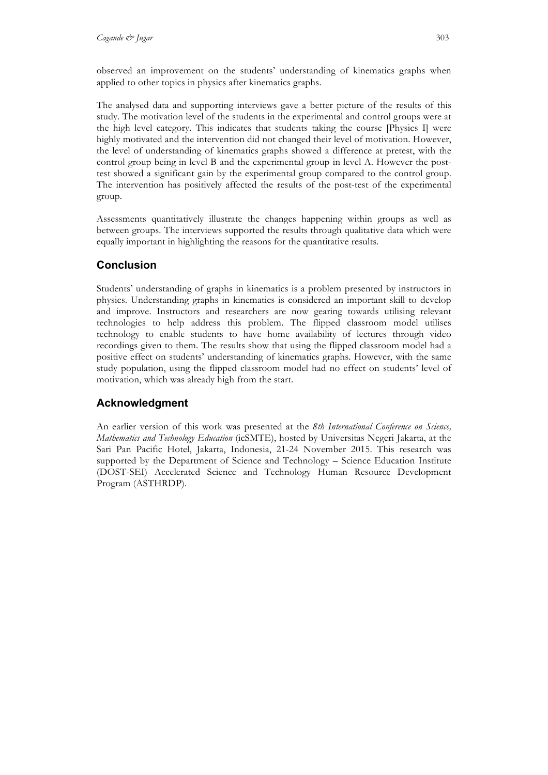observed an improvement on the students' understanding of kinematics graphs when applied to other topics in physics after kinematics graphs.

The analysed data and supporting interviews gave a better picture of the results of this study. The motivation level of the students in the experimental and control groups were at the high level category. This indicates that students taking the course [Physics I] were highly motivated and the intervention did not changed their level of motivation. However, the level of understanding of kinematics graphs showed a difference at pretest, with the control group being in level B and the experimental group in level A. However the posttest showed a significant gain by the experimental group compared to the control group. The intervention has positively affected the results of the post-test of the experimental group.

Assessments quantitatively illustrate the changes happening within groups as well as between groups. The interviews supported the results through qualitative data which were equally important in highlighting the reasons for the quantitative results.

# **Conclusion**

Students' understanding of graphs in kinematics is a problem presented by instructors in physics. Understanding graphs in kinematics is considered an important skill to develop and improve. Instructors and researchers are now gearing towards utilising relevant technologies to help address this problem. The flipped classroom model utilises technology to enable students to have home availability of lectures through video recordings given to them. The results show that using the flipped classroom model had a positive effect on students' understanding of kinematics graphs. However, with the same study population, using the flipped classroom model had no effect on students' level of motivation, which was already high from the start.

# **Acknowledgment**

An earlier version of this work was presented at the *8th International Conference on Science, Mathematics and Technology Education* (icSMTE), hosted by Universitas Negeri Jakarta, at the Sari Pan Pacific Hotel, Jakarta, Indonesia, 21-24 November 2015. This research was supported by the Department of Science and Technology – Science Education Institute (DOST-SEI) Accelerated Science and Technology Human Resource Development Program (ASTHRDP).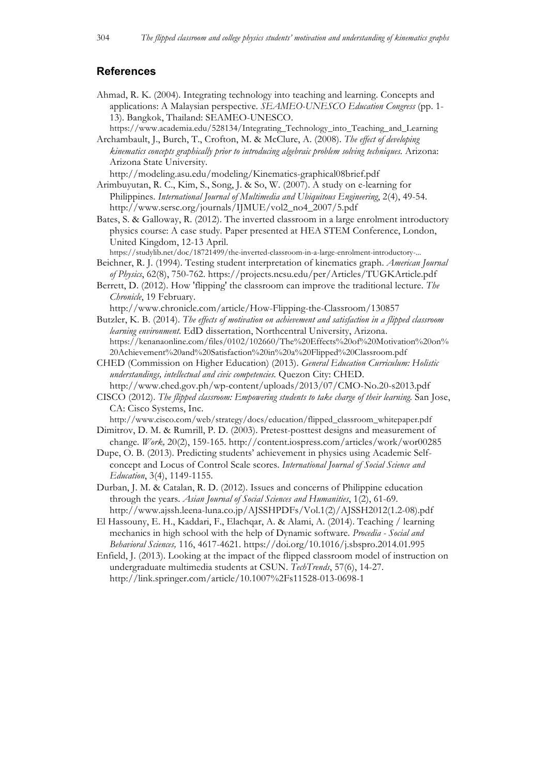# **References**

- Ahmad, R. K. (2004). Integrating technology into teaching and learning. Concepts and applications: A Malaysian perspective. *SEAMEO-UNESCO Education Congress* (pp. 1- 13). Bangkok, Thailand: SEAMEO-UNESCO.
- https://www.academia.edu/528134/Integrating\_Technology\_into\_Teaching\_and\_Learning Archambault, J., Burch, T., Crofton, M. & McClure, A. (2008). *The effect of developing kinematics concepts graphically prior to introducing algebraic problem solving techniques.* Arizona: Arizona State University.

http://modeling.asu.edu/modeling/Kinematics-graphical08brief.pdf

- Arimbuyutan, R. C., Kim, S., Song, J. & So, W. (2007). A study on e-learning for Philippines. *International Journal of Multimedia and Ubiquitous Engineering*, 2(4), 49-54. http://www.sersc.org/journals/IJMUE/vol2\_no4\_2007/5.pdf
- Bates, S. & Galloway, R. (2012). The inverted classroom in a large enrolment introductory physics course: A case study*.* Paper presented at HEA STEM Conference, London, United Kingdom, 12-13 April.
- https://studylib.net/doc/18721499/the-inverted-classroom-in-a-large-enrolment-introductory-... Beichner, R. J. (1994). Testing student interpretation of kinematics graph. *American Journal*
- *of Physics*, 62(8), 750-762. https://projects.ncsu.edu/per/Articles/TUGKArticle.pdf
- Berrett, D. (2012). How 'flipping' the classroom can improve the traditional lecture. *The Chronicle*, 19 February.
- http://www.chronicle.com/article/How-Flipping-the-Classroom/130857 Butzler, K. B. (2014). *The effects of motivation on achievement and satisfaction in a flipped classroom learning environment*. EdD dissertation, Northcentral University, Arizona. https://kenanaonline.com/files/0102/102660/The%20Effects%20of%20Motivation%20on% 20Achievement%20and%20Satisfaction%20in%20a%20Flipped%20Classroom.pdf
- CHED (Commission on Higher Education) (2013). *General Education Curriculum: Holistic understandings, intellectual and civic competencies.* Quezon City: CHED.
- http://www.ched.gov.ph/wp-content/uploads/2013/07/CMO-No.20-s2013.pdf CISCO (2012). *The flipped classroom: Empowering students to take charge of their learning.* San Jose, CA: Cisco Systems, Inc.
- http://www.cisco.com/web/strategy/docs/education/flipped\_classroom\_whitepaper.pdf Dimitrov, D. M. & Rumrill, P. D. (2003). Pretest-posttest designs and measurement of
- change. *Work,* 20(2), 159-165. http://content.iospress.com/articles/work/wor00285 Dupe, O. B. (2013). Predicting students' achievement in physics using Academic Self-
- concept and Locus of Control Scale scores. *International Journal of Social Science and Education*, 3(4), 1149-1155.
- Durban, J. M. & Catalan, R. D. (2012). Issues and concerns of Philippine education through the years. *Asian Journal of Social Sciences and Humanities*, 1(2), 61-69. http://www.ajssh.leena-luna.co.jp/AJSSHPDFs/Vol.1(2)/AJSSH2012(1.2-08).pdf
- El Hassouny, E. H., Kaddari, F., Elachqar, A. & Alami, A. (2014). Teaching / learning mechanics in high school with the help of Dynamic software. *Procedia - Social and Behavioral Sciences,* 116, 4617-4621. https://doi.org/10.1016/j.sbspro.2014.01.995
- Enfield, J. (2013). Looking at the impact of the flipped classroom model of instruction on undergraduate multimedia students at CSUN. *TechTrends*, 57(6), 14-27. http://link.springer.com/article/10.1007%2Fs11528-013-0698-1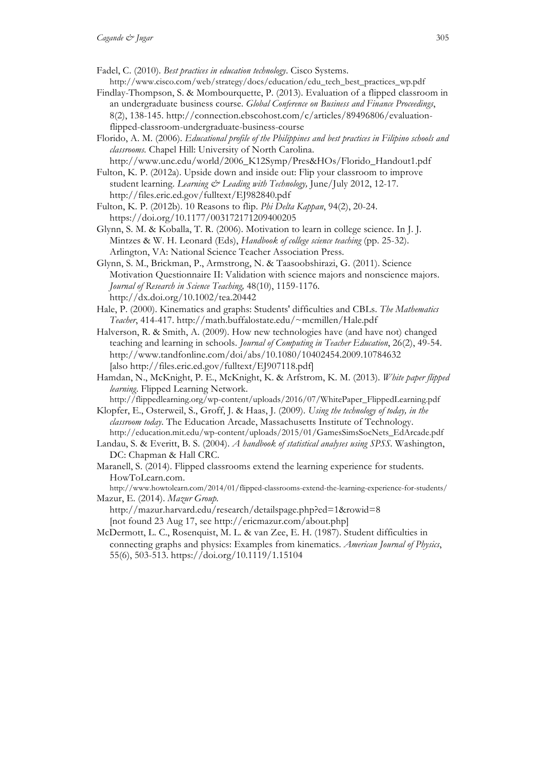- Fadel, C. (2010). *Best practices in education technology*. Cisco Systems. http://www.cisco.com/web/strategy/docs/education/edu\_tech\_best\_practices\_wp.pdf
- Findlay-Thompson, S. & Mombourquette, P. (2013). Evaluation of a flipped classroom in an undergraduate business course. *Global Conference on Business and Finance Proceedings*, 8(2), 138-145. http://connection.ebscohost.com/c/articles/89496806/evaluationflipped-classroom-undergraduate-business-course
- Florido, A. M. (2006). *Educational profile of the Philippines and best practices in Filipino schools and classrooms.* Chapel Hill: University of North Carolina.
- http://www.unc.edu/world/2006\_K12Symp/Pres&HOs/Florido\_Handout1.pdf Fulton, K. P. (2012a). Upside down and inside out: Flip your classroom to improve student learning. *Learning & Leading with Technology,* June/July 2012, 12-17. http://files.eric.ed.gov/fulltext/EJ982840.pdf
- Fulton, K. P. (2012b). 10 Reasons to flip. *Phi Delta Kappan*, 94(2), 20-24. https://doi.org/10.1177/003172171209400205
- Glynn, S. M. & Koballa, T. R. (2006). Motivation to learn in college science. In J. J. Mintzes & W. H. Leonard (Eds), *Handbook of college science teaching* (pp. 25-32). Arlington, VA: National Science Teacher Association Press.
- Glynn, S. M., Brickman, P., Armstrong, N. & Taasoobshirazi, G. (2011). Science Motivation Questionnaire II: Validation with science majors and nonscience majors. *Journal of Research in Science Teaching,* 48(10), 1159-1176. http://dx.doi.org/10.1002/tea.20442
- Hale, P. (2000). Kinematics and graphs: Students' difficulties and CBLs. *The Mathematics Teacher*, 414-417. http://math.buffalostate.edu/~mcmillen/Hale.pdf
- Halverson, R. & Smith, A. (2009). How new technologies have (and have not) changed teaching and learning in schools. *Journal of Computing in Teacher Education*, 26(2), 49-54. http://www.tandfonline.com/doi/abs/10.1080/10402454.2009.10784632 [also http://files.eric.ed.gov/fulltext/EJ907118.pdf]
- Hamdan, N., McKnight, P. E., McKnight, K. & Arfstrom, K. M. (2013). *White paper flipped learning*. Flipped Learning Network.

http://flippedlearning.org/wp-content/uploads/2016/07/WhitePaper\_FlippedLearning.pdf Klopfer, E., Osterweil, S., Groff, J. & Haas, J. (2009). *Using the technology of today, in the* 

- *classroom today*. The Education Arcade, Massachusetts Institute of Technology. http://education.mit.edu/wp-content/uploads/2015/01/GamesSimsSocNets\_EdArcade.pdf
- Landau, S. & Everitt, B. S. (2004). *A handbook of statistical analyses using SPSS.* Washington, DC: Chapman & Hall CRC.
- Maranell, S. (2014). Flipped classrooms extend the learning experience for students*.* HowToLearn.com.
- http://www.howtolearn.com/2014/01/flipped-classrooms-extend-the-learning-experience-for-students/ Mazur, E. (2014). *Mazur Group.*
- http://mazur.harvard.edu/research/detailspage.php?ed=1&rowid=8 [not found 23 Aug 17, see http://ericmazur.com/about.php]
- McDermott, L. C., Rosenquist, M. L. & van Zee, E. H. (1987). Student difficulties in connecting graphs and physics: Examples from kinematics. *American Journal of Physics*, 55(6), 503-513. https://doi.org/10.1119/1.15104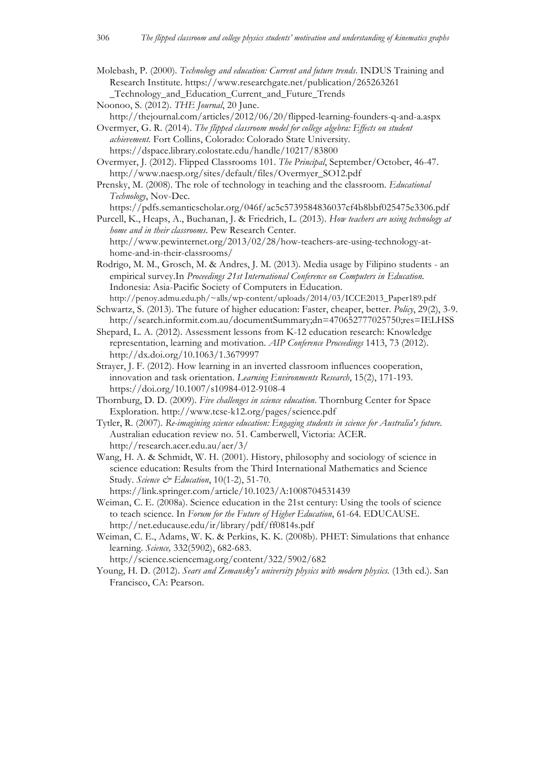Molebash, P. (2000). *Technology and education: Current and future trends*. INDUS Training and Research Institute. https://www.researchgate.net/publication/265263261 \_Technology\_and\_Education\_Current\_and\_Future\_Trends

Noonoo, S. (2012). *THE Journal*, 20 June.

http://thejournal.com/articles/2012/06/20/flipped-learning-founders-q-and-a.aspx Overmyer, G. R. (2014). *The flipped classroom model for college algebra: Effects on student* 

*achievement.* Fort Collins, Colorado: Colorado State University. https://dspace.library.colostate.edu/handle/10217/83800

- Overmyer, J. (2012). Flipped Classrooms 101. *The Principal*, September/October, 46-47. http://www.naesp.org/sites/default/files/Overmyer\_SO12.pdf
- Prensky, M. (2008). The role of technology in teaching and the classroom. *Educational Technology*, Nov-Dec.

https://pdfs.semanticscholar.org/046f/ac5c5739584836037cf4b8bbf025475e3306.pdf

Purcell, K., Heaps, A., Buchanan, J. & Friedrich, L. (2013). *How teachers are using technology at home and in their classrooms*. Pew Research Center. http://www.pewinternet.org/2013/02/28/how-teachers-are-using-technology-at-

home-and-in-their-classrooms/

Rodrigo, M. M., Grosch, M. & Andres, J. M. (2013). Media usage by Filipino students - an empirical survey.In *Proceedings 21st International Conference on Computers in Education.* Indonesia: Asia-Pacific Society of Computers in Education. http://penoy.admu.edu.ph/~alls/wp-content/uploads/2014/03/ICCE2013\_Paper189.pdf

Schwartz, S. (2013). The future of higher education: Faster, cheaper, better. *Policy*, 29(2), 3-9. http://search.informit.com.au/documentSummary;dn=470652777025750;res=IELHSS

- Shepard, L. A. (2012). Assessment lessons from K-12 education research: Knowledge representation, learning and motivation. *AIP Conference Proceedings* 1413, 73 (2012). http://dx.doi.org/10.1063/1.3679997
- Strayer, J. F. (2012). How learning in an inverted classroom influences cooperation, innovation and task orientation. *Learning Environments Research*, 15(2), 171-193. https://doi.org/10.1007/s10984-012-9108-4
- Thornburg, D. D. (2009). *Five challenges in science education*. Thornburg Center for Space Exploration. http://www.tcse-k12.org/pages/science.pdf

Tytler, R. (2007). *Re-imagining science education: Engaging students in science for Australia's future.* Australian education review no. 51. Camberwell, Victoria: ACER. http://research.acer.edu.au/aer/3/

- Wang, H. A. & Schmidt, W. H. (2001). History, philosophy and sociology of science in science education: Results from the Third International Mathematics and Science Study. *Science & Education*, 10(1-2), 51-70. https://link.springer.com/article/10.1023/A:1008704531439
- Weiman, C. E. (2008a). Science education in the 21st century: Using the tools of science to teach science. In *Forum for the Future of Higher Education*, 61-64. EDUCAUSE. http://net.educause.edu/ir/library/pdf/ff0814s.pdf

Weiman, C. E., Adams, W. K. & Perkins, K. K. (2008b). PHET: Simulations that enhance learning. *Science,* 332(5902), 682-683.

http://science.sciencemag.org/content/322/5902/682

Young, H. D. (2012). *Sears and Zemansky's university physics with modern physics.* (13th ed.). San Francisco, CA: Pearson.